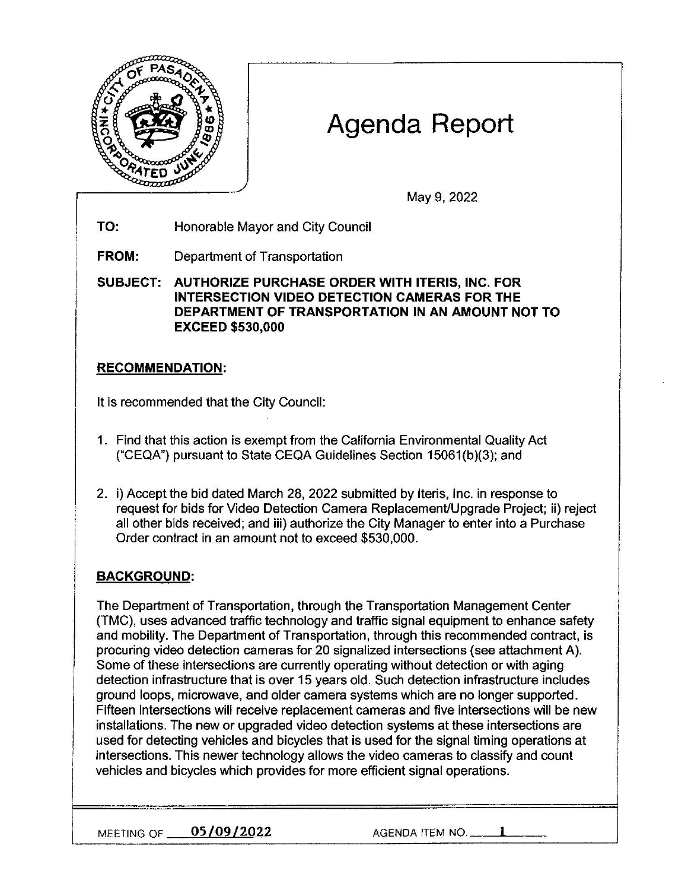

# **Agenda Report**

May 9, 2022

**TO:** Honorable Mayor and City Council

**FROM:** Department of Transportation

**SUBJECT: AUTHORIZE PURCHASE ORDER WITH ITERIS, INC. FOR INTERSECTION VIDEO DETECTION CAMERAS FOR THE DEPARTMENT OF TRANSPORTATION IN AN AMOUNT NOT TO EXCEED \$530,000** 

## **RECOMMENDATION:**

It is recommended that the City Council:

- 1. Find that this action is exempt from the California Environmental Quality Act ("CEQA") pursuant to State CEQA Guidelines Section 15061(b)(3); and
- 2. i) Accept the bid dated March 28, 2022 submitted by lteris, Inc. in response to request for bids for Video Detection Camera Replacement/Upgrade Project; ii) reject all other bids received; and iii) authorize the City Manager to enter into a Purchase Order contract in an amount not to exceed \$530,000.

## **BACKGROUND:**

The Department of Transportation, through the Transportation Management Center (TMC), uses advanced traffic technology and traffic signal equipment to enhance safety and mobility. The Department of Transportation, through this recommended contract, is procuring video detection cameras for 20 signalized intersections (see attachment A). Some of these intersections are currently operating without detection or with aging detection infrastructure that is over 15 years old. Such detection infrastructure includes ground loops, microwave, and older camera systems which are no longer supported. Fifteen intersections will receive replacement cameras and five intersections will be new installations. The new or upgraded video detection systems at these intersections are used for detecting vehicles and bicycles that is used for the signal timing operations at intersections. This newer technology allows the video cameras to classify and count vehicles and bicycles which provides for more efficient signal operations.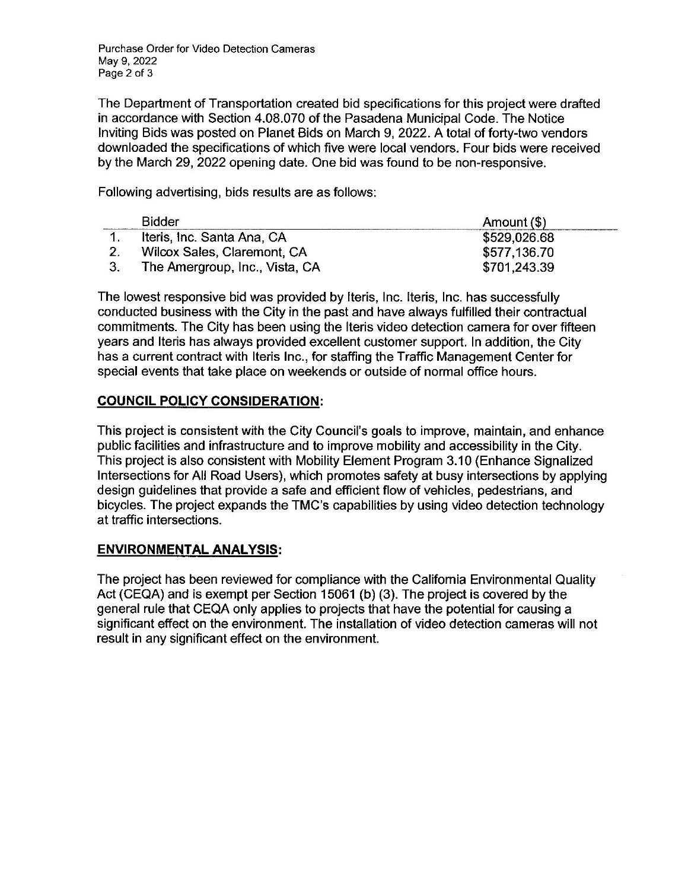Purchase Order for Video Detection Cameras May 9, 2022 Page 2 of 3

The Department of Transportation created bid specifications for this project were drafted in accordance with Section 4.08.070 of the Pasadena Municipal Code. The Notice Inviting Bids was posted on Planet Bids on March 9, 2022. A total of forty-two vendors downloaded the specifications of which five were local vendors. Four bids were received by the March 29, 2022 opening date. One bid was found to be non-responsive.

Following advertising, bids results are as follows:

| Bidder                         | Amount (\$)  |
|--------------------------------|--------------|
| Iteris, Inc. Santa Ana, CA     | \$529,026.68 |
| Wilcox Sales, Claremont, CA    | \$577,136.70 |
| The Amergroup, Inc., Vista, CA | \$701,243.39 |

The lowest responsive bid was provided by lteris, Inc. lteris, Inc. has successfully conducted business with the City in the past and have always fulfilled their contractual commitments. The City has been using the lteris video detection camera for over fifteen years and lteris has always provided excellent customer support. In addition, the City has a current contract with lteris Inc., for staffing the Traffic Management Center for special events that take place on weekends or outside of normal office hours.

#### **COUNCIL POLICY CONSIDERATION:**

This project is consistent with the City Council's goals to improve, maintain, and enhance public facilities and infrastructure and to improve mobility and accessibility in the City. This project is also consistent with Mobility Element Program 3.10 (Enhance Signalized Intersections for All Road Users), which promotes safety at busy intersections by applying design guidelines that provide a safe and efficient flow of vehicles, pedestrians, and bicycles. The project expands the TMC's capabilities by using video detection technology at traffic intersections.

### **ENVIRONMENTAL ANALYSIS:**

The project has been reviewed for compliance with the California Environmental Quality Act (CEQA) and is exempt per Section 15061 (b) (3). The project is covered by the general rule that CEQA only applies to projects that have the potential for causing a significant effect on the environment. The installation of video detection cameras will not result in any significant effect on the environment.